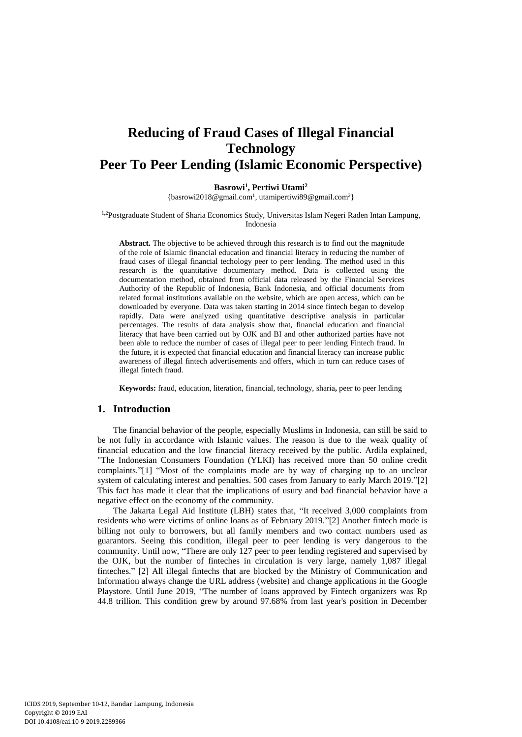# **Reducing of Fraud Cases of Illegal Financial Technology Peer To Peer Lending (Islamic Economic Perspective)**

#### **Basrowi<sup>1</sup> , Pertiwi Utami<sup>2</sup>**

[{basrowi2018@gmail.com](mailto:basrowi2018@gmail.com1)<sup>1</sup> [, utamipertiwi89@gmail.com](mailto:utamipertiwi89@gmail.com2)<sup>2</sup>}

<sup>1,2</sup>Postgraduate Student of Sharia Economics Study, Universitas Islam Negeri Raden Intan Lampung, Indonesia

**Abstract.** The objective to be achieved through this research is to find out the magnitude of the role of Islamic financial education and financial literacy in reducing the number of fraud cases of illegal financial techology peer to peer lending. The method used in this research is the quantitative documentary method. Data is collected using the documentation method, obtained from official data released by the Financial Services Authority of the Republic of Indonesia, Bank Indonesia, and official documents from related formal institutions available on the website, which are open access, which can be downloaded by everyone. Data was taken starting in 2014 since fintech began to develop rapidly. Data were analyzed using quantitative descriptive analysis in particular percentages. The results of data analysis show that, financial education and financial literacy that have been carried out by OJK and BI and other authorized parties have not been able to reduce the number of cases of illegal peer to peer lending Fintech fraud. In the future, it is expected that financial education and financial literacy can increase public awareness of illegal fintech advertisements and offers, which in turn can reduce cases of illegal fintech fraud.

**Keywords:** fraud, education, literation, financial, technology, sharia**,** peer to peer lending

## **1. Introduction**

The financial behavior of the people, especially Muslims in Indonesia, can still be said to be not fully in accordance with Islamic values. The reason is due to the weak quality of financial education and the low financial literacy received by the public. Ardila explained, "The Indonesian Consumers Foundation (YLKI) has received more than 50 online credit complaints."[1] "Most of the complaints made are by way of charging up to an unclear system of calculating interest and penalties. 500 cases from January to early March 2019."[2] This fact has made it clear that the implications of usury and bad financial behavior have a negative effect on the economy of the community.

The Jakarta Legal Aid Institute (LBH) states that, "It received 3,000 complaints from residents who were victims of online loans as of February 2019."[2] Another fintech mode is billing not only to borrowers, but all family members and two contact numbers used as guarantors. Seeing this condition, illegal peer to peer lending is very dangerous to the community. Until now, "There are only 127 peer to peer lending registered and supervised by the OJK, but the number of finteches in circulation is very large, namely 1,087 illegal finteches." [2] All illegal fintechs that are blocked by the Ministry of Communication and Information always change the URL address (website) and change applications in the Google Playstore. Until June 2019, "The number of loans approved by Fintech organizers was Rp 44.8 trillion. This condition grew by around 97.68% from last year's position in December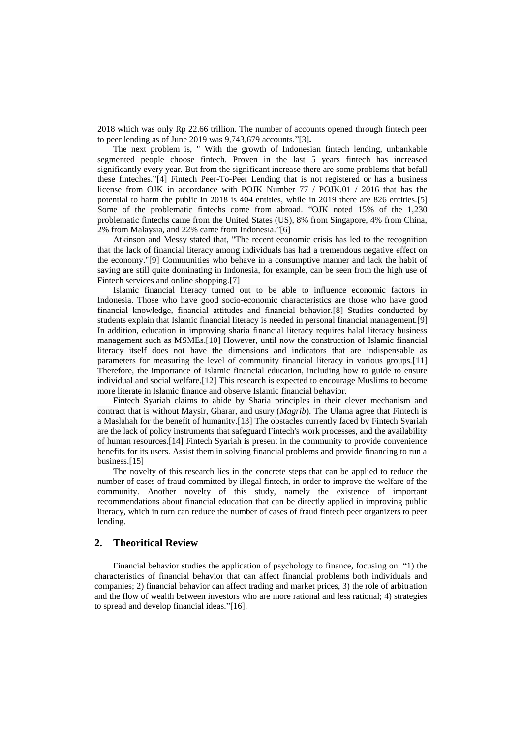2018 which was only Rp 22.66 trillion. The number of accounts opened through fintech peer to peer lending as of June 2019 was 9,743,679 accounts."[3]**.**

The next problem is, " With the growth of Indonesian fintech lending, unbankable segmented people choose fintech. Proven in the last 5 years fintech has increased significantly every year. But from the significant increase there are some problems that befall these finteches."[4] Fintech Peer-To-Peer Lending that is not registered or has a business license from OJK in accordance with POJK Number 77 / POJK.01 / 2016 that has the potential to harm the public in 2018 is 404 entities, while in 2019 there are 826 entities.[5] Some of the problematic fintechs come from abroad. "OJK noted 15% of the 1,230 problematic fintechs came from the United States (US), 8% from Singapore, 4% from China, 2% from Malaysia, and 22% came from Indonesia."[6]

Atkinson and Messy stated that, "The recent economic crisis has led to the recognition that the lack of financial literacy among individuals has had a tremendous negative effect on the economy."[9] Communities who behave in a consumptive manner and lack the habit of saving are still quite dominating in Indonesia, for example, can be seen from the high use of Fintech services and online shopping.<sup>[7]</sup>

Islamic financial literacy turned out to be able to influence economic factors in Indonesia. Those who have good socio-economic characteristics are those who have good financial knowledge, financial attitudes and financial behavior.[8] Studies conducted by students explain that Islamic financial literacy is needed in personal financial management.[9] In addition, education in improving sharia financial literacy requires halal literacy business management such as MSMEs.[10] However, until now the construction of Islamic financial literacy itself does not have the dimensions and indicators that are indispensable as parameters for measuring the level of community financial literacy in various groups.[11] Therefore, the importance of Islamic financial education, including how to guide to ensure individual and social welfare.[12] This research is expected to encourage Muslims to become more literate in Islamic finance and observe Islamic financial behavior.

Fintech Syariah claims to abide by Sharia principles in their clever mechanism and contract that is without Maysir, Gharar, and usury (*Magrib*). The Ulama agree that Fintech is a Maslahah for the benefit of humanity.[13] The obstacles currently faced by Fintech Syariah are the lack of policy instruments that safeguard Fintech's work processes, and the availability of human resources.[14] Fintech Syariah is present in the community to provide convenience benefits for its users. Assist them in solving financial problems and provide financing to run a business.[15]

The novelty of this research lies in the concrete steps that can be applied to reduce the number of cases of fraud committed by illegal fintech, in order to improve the welfare of the community. Another novelty of this study, namely the existence of important recommendations about financial education that can be directly applied in improving public literacy, which in turn can reduce the number of cases of fraud fintech peer organizers to peer lending.

# **2. Theoritical Review**

Financial behavior studies the application of psychology to finance, focusing on: "1) the characteristics of financial behavior that can affect financial problems both individuals and companies; 2) financial behavior can affect trading and market prices, 3) the role of arbitration and the flow of wealth between investors who are more rational and less rational; 4) strategies to spread and develop financial ideas."[16].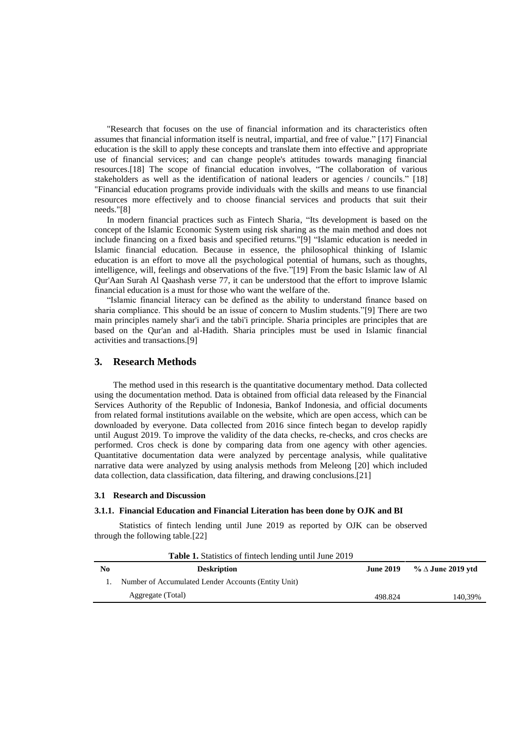"Research that focuses on the use of financial information and its characteristics often assumes that financial information itself is neutral, impartial, and free of value." [17] Financial education is the skill to apply these concepts and translate them into effective and appropriate use of financial services; and can change people's attitudes towards managing financial resources.[18] The scope of financial education involves, "The collaboration of various stakeholders as well as the identification of national leaders or agencies / councils." [18] "Financial education programs provide individuals with the skills and means to use financial resources more effectively and to choose financial services and products that suit their needs."[8]

In modern financial practices such as Fintech Sharia, "Its development is based on the concept of the Islamic Economic System using risk sharing as the main method and does not include financing on a fixed basis and specified returns."[9] "Islamic education is needed in Islamic financial education. Because in essence, the philosophical thinking of Islamic education is an effort to move all the psychological potential of humans, such as thoughts, intelligence, will, feelings and observations of the five."[19] From the basic Islamic law of Al Qur'Aan Surah Al Qaashash verse 77, it can be understood that the effort to improve Islamic financial education is a must for those who want the welfare of the.

"Islamic financial literacy can be defined as the ability to understand finance based on sharia compliance. This should be an issue of concern to Muslim students."[9] There are two main principles namely shar'i and the tabi'i principle. Sharia principles are principles that are based on the Qur'an and al-Hadith. Sharia principles must be used in Islamic financial activities and transactions.[9]

## **3. Research Methods**

The method used in this research is the quantitative documentary method. Data collected using the documentation method. Data is obtained from official data released by the Financial Services Authority of the Republic of Indonesia, Bankof Indonesia, and official documents from related formal institutions available on the website, which are open access, which can be downloaded by everyone. Data collected from 2016 since fintech began to develop rapidly until August 2019. To improve the validity of the data checks, re-checks, and cros checks are performed. Cros check is done by comparing data from one agency with other agencies. Quantitative documentation data were analyzed by percentage analysis, while qualitative narrative data were analyzed by using analysis methods from Meleong [20] which included data collection, data classification, data filtering, and drawing conclusions.[21]

#### **3.1 Research and Discussion**

## **3.1.1. Financial Education and Financial Literation has been done by OJK and BI**

Statistics of fintech lending until June 2019 as reported by OJK can be observed through the following table.[22]

|                | <b>Table 1.</b> Statistics of fintech lending until June 2019 |                  |                          |
|----------------|---------------------------------------------------------------|------------------|--------------------------|
| N <sub>0</sub> | <b>Deskription</b>                                            | <b>June 2019</b> | % $\Delta$ June 2019 ytd |
|                | Number of Accumulated Lender Accounts (Entity Unit)           |                  |                          |
|                | Aggregate (Total)                                             | 498.824          | 140.39%                  |
|                |                                                               |                  |                          |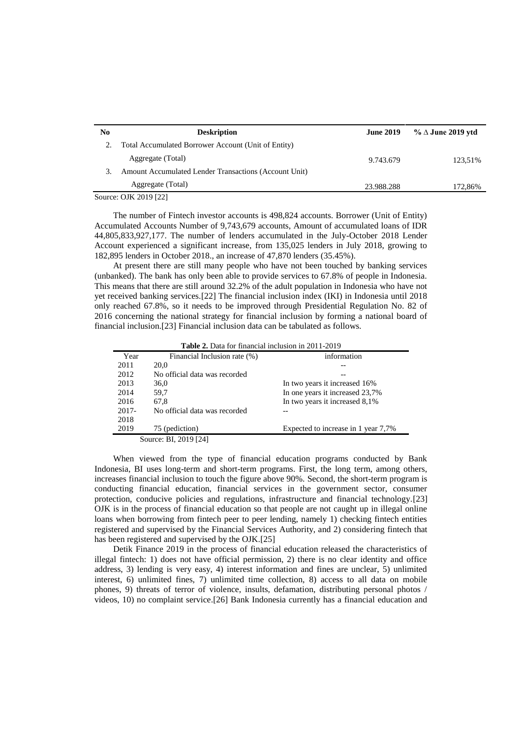| No     | <b>Deskription</b>                                    | <b>June 2019</b> | $\%$ $\Delta$ June 2019 ytd |
|--------|-------------------------------------------------------|------------------|-----------------------------|
|        | Total Accumulated Borrower Account (Unit of Entity)   |                  |                             |
|        | Aggregate (Total)                                     | 9.743.679        | 123.51%                     |
| 3.     | Amount Accumulated Lender Transactions (Account Unit) |                  |                             |
|        | Aggregate (Total)                                     | 23.988.288       | 172,86%                     |
| $\sim$ |                                                       |                  |                             |

Source: OJK 2019 [22]

The number of Fintech investor accounts is 498,824 accounts. Borrower (Unit of Entity) Accumulated Accounts Number of 9,743,679 accounts, Amount of accumulated loans of IDR 44,805,833,927,177. The number of lenders accumulated in the July-October 2018 Lender Account experienced a significant increase, from 135,025 lenders in July 2018, growing to 182,895 lenders in October 2018., an increase of 47,870 lenders (35.45%).

At present there are still many people who have not been touched by banking services (unbanked). The bank has only been able to provide services to 67.8% of people in Indonesia. This means that there are still around 32.2% of the adult population in Indonesia who have not yet received banking services.[22] The financial inclusion index (IKI) in Indonesia until 2018 only reached 67.8%, so it needs to be improved through Presidential Regulation No. 82 of 2016 concerning the national strategy for financial inclusion by forming a national board of financial inclusion.[23] Financial inclusion data can be tabulated as follows.

| <b>Table 2.</b> Data for financial inclusion in 2011-2019 |  |
|-----------------------------------------------------------|--|
|-----------------------------------------------------------|--|

| Year     | Financial Inclusion rate (%)  | information                         |
|----------|-------------------------------|-------------------------------------|
| 2011     | 20.0                          |                                     |
| 2012     | No official data was recorded |                                     |
| 2013     | 36,0                          | In two years it increased 16%       |
| 2014     | 59,7                          | In one years it increased 23,7%     |
| 2016     | 67,8                          | In two years it increased 8,1%      |
| $2017 -$ | No official data was recorded |                                     |
| 2018     |                               |                                     |
| 2019     | 75 (pediction)                | Expected to increase in 1 year 7,7% |
|          | Source: BI, 2019 [24]         |                                     |

When viewed from the type of financial education programs conducted by Bank Indonesia, BI uses long-term and short-term programs. First, the long term, among others, increases financial inclusion to touch the figure above 90%. Second, the short-term program is conducting financial education, financial services in the government sector, consumer protection, conducive policies and regulations, infrastructure and financial technology.[23] OJK is in the process of financial education so that people are not caught up in illegal online loans when borrowing from fintech peer to peer lending, namely 1) checking fintech entities registered and supervised by the Financial Services Authority, and 2) considering fintech that has been registered and supervised by the OJK.[25]

Detik Finance 2019 in the process of financial education released the characteristics of illegal fintech: 1) does not have official permission, 2) there is no clear identity and office address, 3) lending is very easy, 4) interest information and fines are unclear, 5) unlimited interest, 6) unlimited fines, 7) unlimited time collection, 8) access to all data on mobile phones, 9) threats of terror of violence, insults, defamation, distributing personal photos / videos, 10) no complaint service.[26] Bank Indonesia currently has a financial education and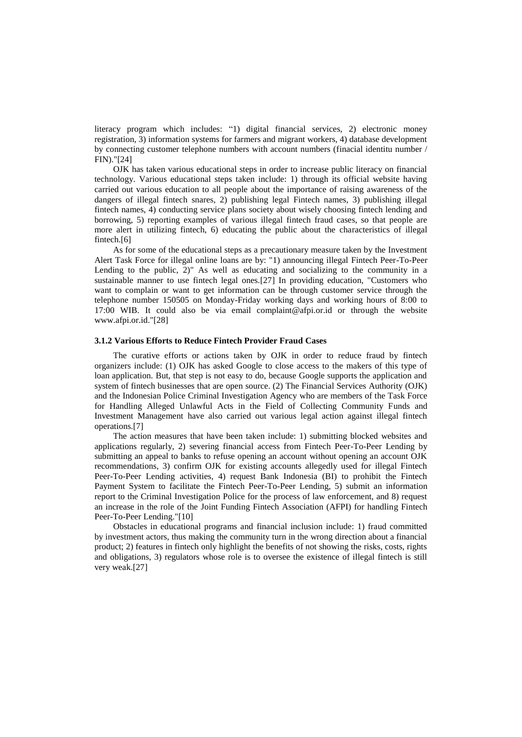literacy program which includes: "1) digital financial services, 2) electronic money registration, 3) information systems for farmers and migrant workers, 4) database development by connecting customer telephone numbers with account numbers (finacial identitu number / FIN)."[24]

OJK has taken various educational steps in order to increase public literacy on financial technology. Various educational steps taken include: 1) through its official website having carried out various education to all people about the importance of raising awareness of the dangers of illegal fintech snares, 2) publishing legal Fintech names, 3) publishing illegal fintech names, 4) conducting service plans society about wisely choosing fintech lending and borrowing, 5) reporting examples of various illegal fintech fraud cases, so that people are more alert in utilizing fintech, 6) educating the public about the characteristics of illegal fintech.[6]

As for some of the educational steps as a precautionary measure taken by the Investment Alert Task Force for illegal online loans are by: "1) announcing illegal Fintech Peer-To-Peer Lending to the public, 2)" As well as educating and socializing to the community in a sustainable manner to use fintech legal ones.[27] In providing education, "Customers who want to complain or want to get information can be through customer service through the telephone number 150505 on Monday-Friday working days and working hours of 8:00 to 17:00 WIB. It could also be via email complaint@afpi.or.id or through the website [www.afpi.or.id.](http://www.afpi.or.id/)"[28]

#### **3.1.2 Various Efforts to Reduce Fintech Provider Fraud Cases**

The curative efforts or actions taken by OJK in order to reduce fraud by fintech organizers include: (1) OJK has asked Google to close access to the makers of this type of loan application. But, that step is not easy to do, because Google supports the application and system of fintech businesses that are open source. (2) The Financial Services Authority (OJK) and the Indonesian Police Criminal Investigation Agency who are members of the Task Force for Handling Alleged Unlawful Acts in the Field of Collecting Community Funds and Investment Management have also carried out various legal action against illegal fintech operations.[7]

The action measures that have been taken include: 1) submitting blocked websites and applications regularly, 2) severing financial access from Fintech Peer-To-Peer Lending by submitting an appeal to banks to refuse opening an account without opening an account OJK recommendations, 3) confirm OJK for existing accounts allegedly used for illegal Fintech Peer-To-Peer Lending activities, 4) request Bank Indonesia (BI) to prohibit the Fintech Payment System to facilitate the Fintech Peer-To-Peer Lending, 5) submit an information report to the Criminal Investigation Police for the process of law enforcement, and 8) request an increase in the role of the Joint Funding Fintech Association (AFPI) for handling Fintech Peer-To-Peer Lending."[10]

Obstacles in educational programs and financial inclusion include: 1) fraud committed by investment actors, thus making the community turn in the wrong direction about a financial product; 2) features in fintech only highlight the benefits of not showing the risks, costs, rights and obligations, 3) regulators whose role is to oversee the existence of illegal fintech is still very weak.[27]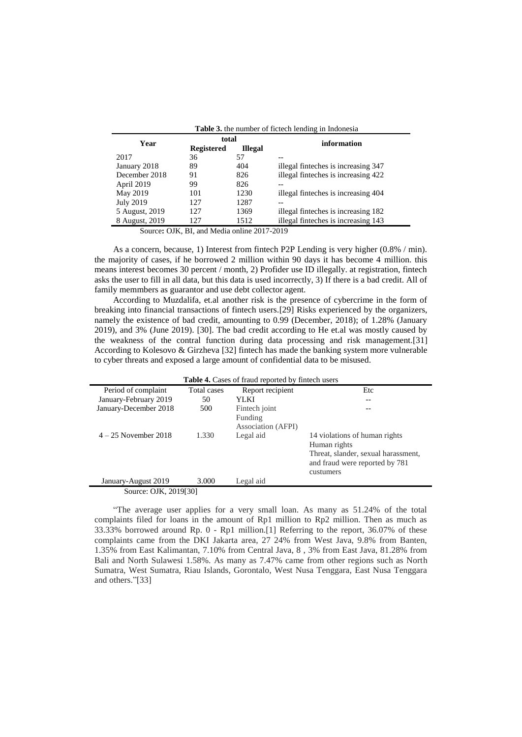| <b>Table 3.</b> the number of fictech lending in Indonesia |                   |                |                                     |  |
|------------------------------------------------------------|-------------------|----------------|-------------------------------------|--|
| Year                                                       | total             |                | information                         |  |
|                                                            | <b>Registered</b> | <b>Illegal</b> |                                     |  |
| 2017                                                       | 36                | 57             |                                     |  |
| January 2018                                               | 89                | 404            | illegal finteches is increasing 347 |  |
| December 2018                                              | 91                | 826            | illegal finteches is increasing 422 |  |
| April 2019                                                 | 99                | 826            |                                     |  |
| May 2019                                                   | 101               | 1230           | illegal finteches is increasing 404 |  |
| <b>July 2019</b>                                           | 127               | 1287           |                                     |  |
| 5 August, 2019                                             | 127               | 1369           | illegal finteches is increasing 182 |  |
| 8 August, 2019                                             | 127               | 1512           | illegal finteches is increasing 143 |  |

Source**:** OJK, BI, and Media online 2017-2019

As a concern, because, 1) Interest from fintech P2P Lending is very higher (0.8% / min). the majority of cases, if he borrowed 2 million within 90 days it has become 4 million. this means interest becomes 30 percent / month, 2) Profider use ID illegally. at registration, fintech asks the user to fill in all data, but this data is used incorrectly, 3) If there is a bad credit. All of family memmbers as guarantor and use debt collector agent.

According to Muzdalifa, et.al another risk is the presence of cybercrime in the form of breaking into financial transactions of fintech users.[29] Risks experienced by the organizers, namely the existence of bad credit, amounting to 0.99 (December, 2018); of 1.28% (January 2019), and 3% (June 2019). [30]. The bad credit according to He et.al was mostly caused by the weakness of the contral function during data processing and risk management.[31] According to Kolesovo & Girzheva [32] fintech has made the banking system more vulnerable to cyber threats and exposed a large amount of confidential data to be misused.

| <b>Table 4.</b> Cases of fraud reported by fintech users |             |                    |                                     |  |
|----------------------------------------------------------|-------------|--------------------|-------------------------------------|--|
| Period of complaint                                      | Total cases | Report recipient   | Etc                                 |  |
| January-February 2019                                    | 50          | YLKI               |                                     |  |
| January-December 2018                                    | 500         | Fintech joint      |                                     |  |
|                                                          |             | Funding            |                                     |  |
|                                                          |             | Association (AFPI) |                                     |  |
| $4-25$ November 2018                                     | 1.330       | Legal aid          | 14 violations of human rights       |  |
|                                                          |             |                    | Human rights                        |  |
|                                                          |             |                    | Threat, slander, sexual harassment, |  |
|                                                          |             |                    | and fraud were reported by 781      |  |
|                                                          |             |                    | custumers                           |  |
| January-August 2019                                      | 3.000       | Legal aid          |                                     |  |
| Source: OJK, 2019[30]                                    |             |                    |                                     |  |

"The average user applies for a very small loan. As many as 51.24% of the total complaints filed for loans in the amount of Rp1 million to Rp2 million. Then as much as 33.33% borrowed around Rp. 0 - Rp1 million.[1] Referring to the report, 36.07% of these complaints came from the DKI Jakarta area, 27 24% from West Java, 9.8% from Banten, 1.35% from East Kalimantan, 7.10% from Central Java, 8 , 3% from East Java, 81.28% from Bali and North Sulawesi 1.58%. As many as 7.47% came from other regions such as North Sumatra, West Sumatra, Riau Islands, Gorontalo, West Nusa Tenggara, East Nusa Tenggara and others."[33]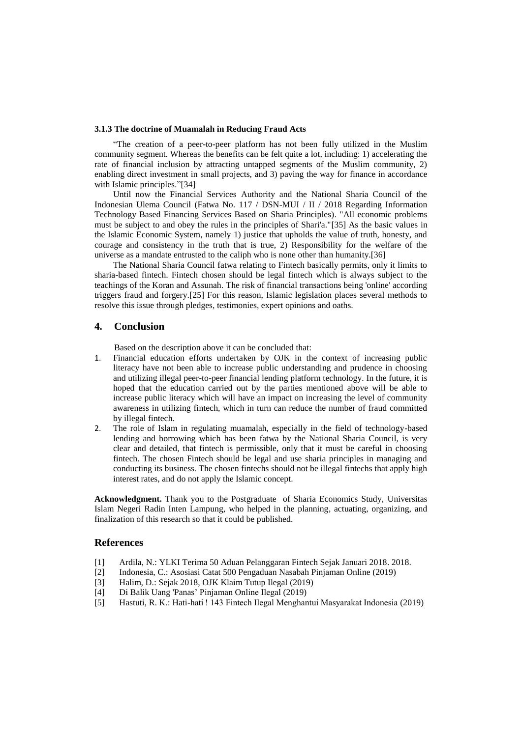#### **3.1.3 The doctrine of Muamalah in Reducing Fraud Acts**

"The creation of a peer-to-peer platform has not been fully utilized in the Muslim community segment. Whereas the benefits can be felt quite a lot, including: 1) accelerating the rate of financial inclusion by attracting untapped segments of the Muslim community, 2) enabling direct investment in small projects, and 3) paving the way for finance in accordance with Islamic principles."[34]

Until now the Financial Services Authority and the National Sharia Council of the Indonesian Ulema Council (Fatwa No. 117 / DSN-MUI / II / 2018 Regarding Information Technology Based Financing Services Based on Sharia Principles). "All economic problems must be subject to and obey the rules in the principles of Shari'a."[35] As the basic values in the Islamic Economic System, namely 1) justice that upholds the value of truth, honesty, and courage and consistency in the truth that is true, 2) Responsibility for the welfare of the universe as a mandate entrusted to the caliph who is none other than humanity.[36]

The National Sharia Council fatwa relating to Fintech basically permits, only it limits to sharia-based fintech. Fintech chosen should be legal fintech which is always subject to the teachings of the Koran and Assunah. The risk of financial transactions being 'online' according triggers fraud and forgery.[25] For this reason, Islamic legislation places several methods to resolve this issue through pledges, testimonies, expert opinions and oaths.

### **4. Conclusion**

Based on the description above it can be concluded that:

- 1. Financial education efforts undertaken by OJK in the context of increasing public literacy have not been able to increase public understanding and prudence in choosing and utilizing illegal peer-to-peer financial lending platform technology. In the future, it is hoped that the education carried out by the parties mentioned above will be able to increase public literacy which will have an impact on increasing the level of community awareness in utilizing fintech, which in turn can reduce the number of fraud committed by illegal fintech.
- 2. The role of Islam in regulating muamalah, especially in the field of technology-based lending and borrowing which has been fatwa by the National Sharia Council, is very clear and detailed, that fintech is permissible, only that it must be careful in choosing fintech. The chosen Fintech should be legal and use sharia principles in managing and conducting its business. The chosen fintechs should not be illegal fintechs that apply high interest rates, and do not apply the Islamic concept.

**Acknowledgment.** Thank you to the Postgraduate of Sharia Economics Study, Universitas Islam Negeri Radin Inten Lampung, who helped in the planning, actuating, organizing, and finalization of this research so that it could be published.

### **References**

- [1] Ardila, N.: YLKI Terima 50 Aduan Pelanggaran Fintech Sejak Januari 2018. 2018.
- [2] Indonesia, C.: Asosiasi Catat 500 Pengaduan Nasabah Pinjaman Online (2019)
- [3] Halim, D.: Sejak 2018, OJK Klaim Tutup Ilegal (2019)
- [4] Di Balik Uang 'Panas' Pinjaman Online Ilegal (2019)
- [5] Hastuti, R. K.: Hati-hati ! 143 Fintech Ilegal Menghantui Masyarakat Indonesia (2019)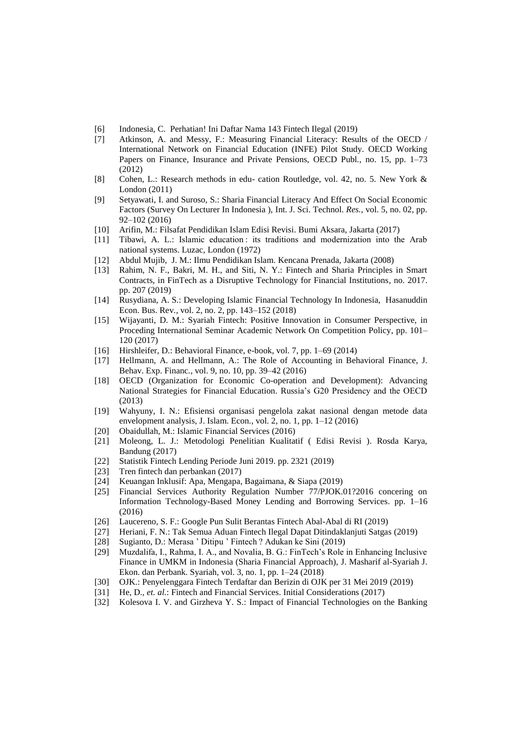- [6] Indonesia, C. Perhatian! Ini Daftar Nama 143 Fintech Ilegal (2019)
- [7] Atkinson, A. and Messy, F.: Measuring Financial Literacy: Results of the OECD / International Network on Financial Education (INFE) Pilot Study. OECD Working Papers on Finance, Insurance and Private Pensions, OECD Publ*.*, no. 15, pp. 1–73 (2012)
- [8] Cohen, L.: Research methods in edu- cation Routledge, vol. 42, no. 5. New York & London (2011)
- [9] Setyawati, I. and Suroso, S.: Sharia Financial Literacy And Effect On Social Economic Factors (Survey On Lecturer In Indonesia ), Int. J. Sci. Technol*. Res.*, vol. 5, no. 02, pp. 92–102 (2016)
- [10] Arifin, M.: Filsafat Pendidikan Islam Edisi Revisi. Bumi Aksara, Jakarta (2017)
- [11] Tibawi, A. L.: Islamic education : its traditions and modernization into the Arab national systems. Luzac, London (1972)
- [12] Abdul Mujib, J. M.: Ilmu Pendidikan Islam. Kencana Prenada, Jakarta (2008)
- [13] Rahim, N. F., Bakri, M. H., and Siti, N. Y.: Fintech and Sharia Principles in Smart Contracts, in FinTech as a Disruptive Technology for Financial Institutions, no. 2017. pp. 207 (2019)
- [14] Rusydiana, A. S.: Developing Islamic Financial Technology In Indonesia, Hasanuddin Econ. Bus. Rev*.*, vol. 2, no. 2, pp. 143–152 (2018)
- [15] Wijayanti, D. M.: Syariah Fintech: Positive Innovation in Consumer Perspective, in Proceding International Seminar Academic Network On Competition Policy, pp. 101– 120 (2017)
- [16] Hirshleifer, D.: Behavioral Finance, e-book, vol. 7, pp. 1–69 (2014)
- [17] Hellmann, A. and Hellmann, A.: The Role of Accounting in Behavioral Finance, J. Behav. Exp. Financ*.*, vol. 9, no. 10, pp. 39–42 (2016)
- [18] OECD (Organization for Economic Co-operation and Development): Advancing National Strategies for Financial Education. Russia's G20 Presidency and the OECD (2013)
- [19] Wahyuny, I. N.: Efisiensi organisasi pengelola zakat nasional dengan metode data envelopment analysis, J. Islam. Econ., vol. 2, no. 1, pp. 1–12 (2016)
- [20] Obaidullah, M.: Islamic Financial Services (2016)
- [21] Moleong, L. J.: Metodologi Penelitian Kualitatif ( Edisi Revisi ). Rosda Karya, Bandung (2017)
- [22] Statistik Fintech Lending Periode Juni 2019. pp. 2321 (2019)
- [23] Tren fintech dan perbankan (2017)
- [24] Keuangan Inklusif: Apa, Mengapa, Bagaimana, & Siapa (2019)
- [25] Financial Services Authority Regulation Number 77/PJOK.01?2016 concering on Information Technology-Based Money Lending and Borrowing Services. pp. 1–16 (2016)
- [26] Laucereno, S. F.: Google Pun Sulit Berantas Fintech Abal-Abal di RI (2019)
- [27] Heriani, F. N.: Tak Semua Aduan Fintech Ilegal Dapat Ditindaklanjuti Satgas (2019)
- [28] Sugianto, D.: Merasa ' Ditipu ' Fintech ? Adukan ke Sini (2019)
- [29] Muzdalifa, I., Rahma, I. A., and Novalia, B. G.: FinTech's Role in Enhancing Inclusive Finance in UMKM in Indonesia (Sharia Financial Approach), J. Masharif al-Syariah J. Ekon. dan Perbank. Syariah, vol. 3, no. 1, pp. 1–24 (2018)
- [30] OJK.: Penyelenggara Fintech Terdaftar dan Berizin di OJK per 31 Mei 2019 (2019)
- [31] He, D., *et. al.*: Fintech and Financial Services. Initial Considerations (2017)
- [32] Kolesova I. V. and Girzheva Y. S.: Impact of Financial Technologies on the Banking